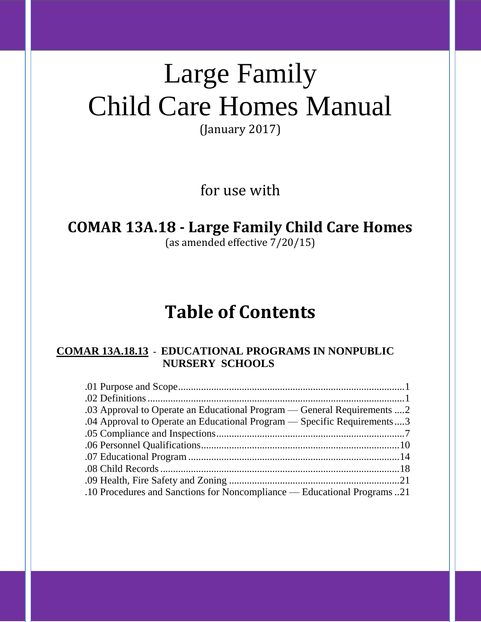# Large Family Child Care Homes Manual

(January 2017)

for use with

### **COMAR 13A.18 - Large Family Child Care Homes**

(as amended effective 7/20/15)

## **Table of Contents**

#### **COMAR 13A.18.13 - EDUCATIONAL PROGRAMS IN NONPUBLIC NURSERY SCHOOLS**

| .03 Approval to Operate an Educational Program — General Requirements 2 |
|-------------------------------------------------------------------------|
| .04 Approval to Operate an Educational Program — Specific Requirements3 |
|                                                                         |
|                                                                         |
|                                                                         |
|                                                                         |
|                                                                         |
| .10 Procedures and Sanctions for Noncompliance — Educational Programs21 |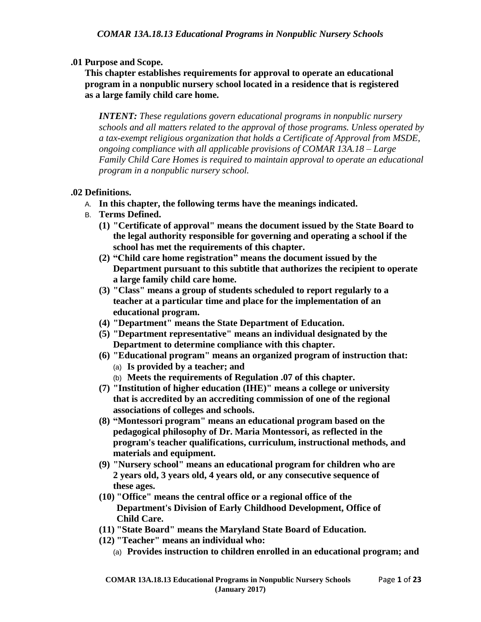#### **.01 Purpose and Scope.**

**This chapter establishes requirements for approval to operate an educational program in a nonpublic nursery school located in a residence that is registered as a large family child care home.**

*INTENT: These regulations govern educational programs in nonpublic nursery schools and all matters related to the approval of those programs. Unless operated by a tax-exempt religious organization that holds a Certificate of Approval from MSDE, ongoing compliance with all applicable provisions of COMAR 13A.18 – Large Family Child Care Homes is required to maintain approval to operate an educational program in a nonpublic nursery school.*

#### **.02 Definitions.**

- A. **In this chapter, the following terms have the meanings indicated.**
- B. **Terms Defined.**
	- **(1) "Certificate of approval" means the document issued by the State Board to the legal authority responsible for governing and operating a school if the school has met the requirements of this chapter.**
	- **(2) "Child care home registration" means the document issued by the Department pursuant to this subtitle that authorizes the recipient to operate a large family child care home.**
	- **(3) "Class" means a group of students scheduled to report regularly to a teacher at a particular time and place for the implementation of an educational program.**
	- **(4) "Department" means the State Department of Education.**
	- **(5) "Department representative" means an individual designated by the Department to determine compliance with this chapter.**
	- **(6) "Educational program" means an organized program of instruction that:**
		- (a) **Is provided by a teacher; and**
		- (b) **Meets the requirements of Regulation .07 of this chapter.**
	- **(7) "Institution of higher education (IHE)" means a college or university that is accredited by an accrediting commission of one of the regional associations of colleges and schools.**
	- **(8) "Montessori program" means an educational program based on the pedagogical philosophy of Dr. Maria Montessori, as reflected in the program's teacher qualifications, curriculum, instructional methods, and materials and equipment.**
	- **(9) "Nursery school" means an educational program for children who are 2 years old, 3 years old, 4 years old, or any consecutive sequence of these ages.**
	- **(10) "Office" means the central office or a regional office of the Department's Division of Early Childhood Development, Office of Child Care.**
	- **(11) "State Board" means the Maryland State Board of Education.**
	- **(12) "Teacher" means an individual who:**
		- (a) **Provides instruction to children enrolled in an educational program; and**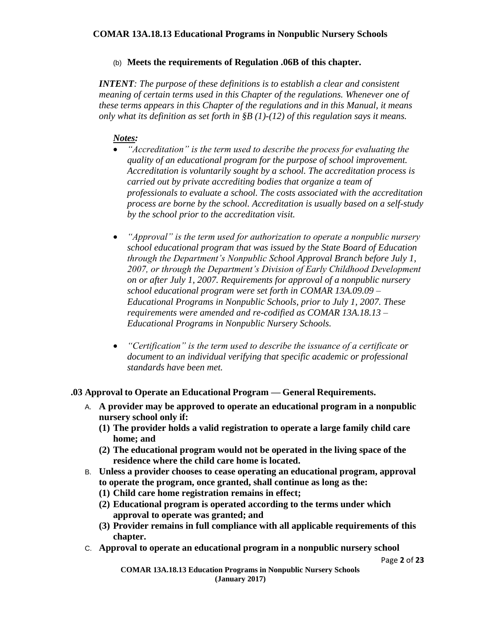#### (b) **Meets the requirements of Regulation .06B of this chapter.**

*INTENT: The purpose of these definitions is to establish a clear and consistent meaning of certain terms used in this Chapter of the regulations. Whenever one of these terms appears in this Chapter of the regulations and in this Manual, it means only what its definition as set forth in §B (1)-(12) of this regulation says it means.*

#### *Notes:*

- *"Accreditation" is the term used to describe the process for evaluating the quality of an educational program for the purpose of school improvement. Accreditation is voluntarily sought by a school. The accreditation process is carried out by private accrediting bodies that organize a team of professionals to evaluate a school. The costs associated with the accreditation process are borne by the school. Accreditation is usually based on a self-study by the school prior to the accreditation visit.*
- *"Approval" is the term used for authorization to operate a nonpublic nursery school educational program that was issued by the State Board of Education through the Department's Nonpublic School Approval Branch before July 1, 2007, or through the Department's Division of Early Childhood Development on or after July 1, 2007. Requirements for approval of a nonpublic nursery school educational program were set forth in COMAR 13A.09.09 – Educational Programs in Nonpublic Schools, prior to July 1, 2007. These requirements were amended and re-codified as COMAR 13A.18.13 – Educational Programs in Nonpublic Nursery Schools.*
- *"Certification" is the term used to describe the issuance of a certificate or document to an individual verifying that specific academic or professional standards have been met.*

#### **.03 Approval to Operate an Educational Program — General Requirements.**

- A. **A provider may be approved to operate an educational program in a nonpublic nursery school only if:**
	- **(1) The provider holds a valid registration to operate a large family child care home; and**
	- **(2) The educational program would not be operated in the living space of the residence where the child care home is located.**
- B. **Unless a provider chooses to cease operating an educational program, approval to operate the program, once granted, shall continue as long as the:**
	- **(1) Child care home registration remains in effect;**
	- **(2) Educational program is operated according to the terms under which approval to operate was granted; and**
	- **(3) Provider remains in full compliance with all applicable requirements of this chapter.**
- C. **Approval to operate an educational program in a nonpublic nursery school**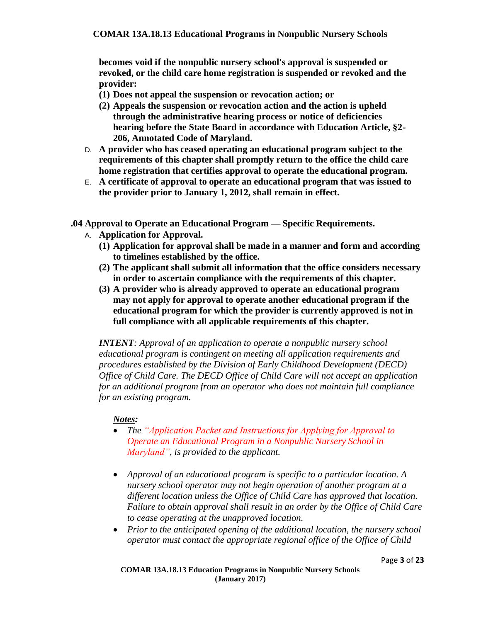**becomes void if the nonpublic nursery school's approval is suspended or revoked, or the child care home registration is suspended or revoked and the provider:**

- **(1) Does not appeal the suspension or revocation action; or**
- **(2) Appeals the suspension or revocation action and the action is upheld through the administrative hearing process or notice of deficiencies hearing before the State Board in accordance with Education Article, §2- 206, Annotated Code of Maryland.**
- D. **A provider who has ceased operating an educational program subject to the requirements of this chapter shall promptly return to the office the child care home registration that certifies approval to operate the educational program.**
- E. **A certificate of approval to operate an educational program that was issued to the provider prior to January 1, 2012, shall remain in effect.**
- **.04 Approval to Operate an Educational Program — Specific Requirements.**
	- A. **Application for Approval.**
		- **(1) Application for approval shall be made in a manner and form and according to timelines established by the office.**
		- **(2) The applicant shall submit all information that the office considers necessary in order to ascertain compliance with the requirements of this chapter.**
		- **(3) A provider who is already approved to operate an educational program may not apply for approval to operate another educational program if the educational program for which the provider is currently approved is not in full compliance with all applicable requirements of this chapter.**

*INTENT: Approval of an application to operate a nonpublic nursery school educational program is contingent on meeting all application requirements and procedures established by the Division of Early Childhood Development (DECD) Office of Child Care. The DECD Office of Child Care will not accept an application for an additional program from an operator who does not maintain full compliance for an existing program.* 

- *The "Application Packet and Instructions for Applying for Approval to Operate an Educational Program in a Nonpublic Nursery School in Maryland", is provided to the applicant.*
- *Approval of an educational program is specific to a particular location. A nursery school operator may not begin operation of another program at a different location unless the Office of Child Care has approved that location. Failure to obtain approval shall result in an order by the Office of Child Care to cease operating at the unapproved location.*
- *Prior to the anticipated opening of the additional location, the nursery school operator must contact the appropriate regional office of the Office of Child*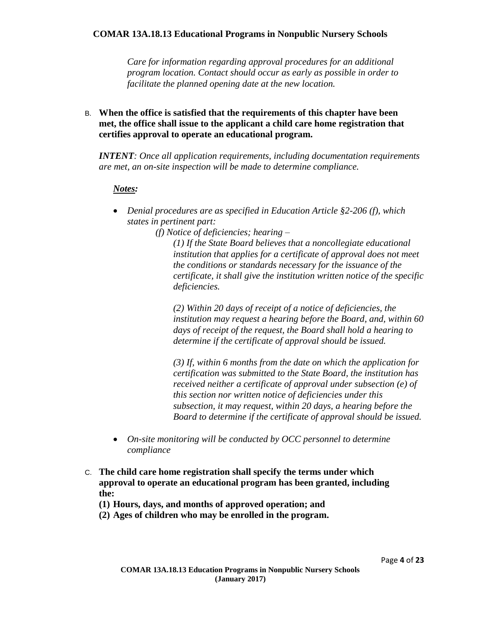*Care for information regarding approval procedures for an additional program location. Contact should occur as early as possible in order to facilitate the planned opening date at the new location.*

B. **When the office is satisfied that the requirements of this chapter have been met, the office shall issue to the applicant a child care home registration that certifies approval to operate an educational program.**

*INTENT: Once all application requirements, including documentation requirements are met, an on-site inspection will be made to determine compliance.* 

#### *Notes:*

 *Denial procedures are as specified in Education Article §2-206 (f), which states in pertinent part:*

*(f) Notice of deficiencies; hearing –*

*(1) If the State Board believes that a noncollegiate educational institution that applies for a certificate of approval does not meet the conditions or standards necessary for the issuance of the certificate, it shall give the institution written notice of the specific deficiencies.*

*(2) Within 20 days of receipt of a notice of deficiencies, the institution may request a hearing before the Board, and, within 60 days of receipt of the request, the Board shall hold a hearing to determine if the certificate of approval should be issued.*

*(3) If, within 6 months from the date on which the application for certification was submitted to the State Board, the institution has received neither a certificate of approval under subsection (e) of this section nor written notice of deficiencies under this subsection, it may request, within 20 days, a hearing before the Board to determine if the certificate of approval should be issued.*

- *On-site monitoring will be conducted by OCC personnel to determine compliance*
- C. **The child care home registration shall specify the terms under which approval to operate an educational program has been granted, including the:**
	- **(1) Hours, days, and months of approved operation; and**
	- **(2) Ages of children who may be enrolled in the program.**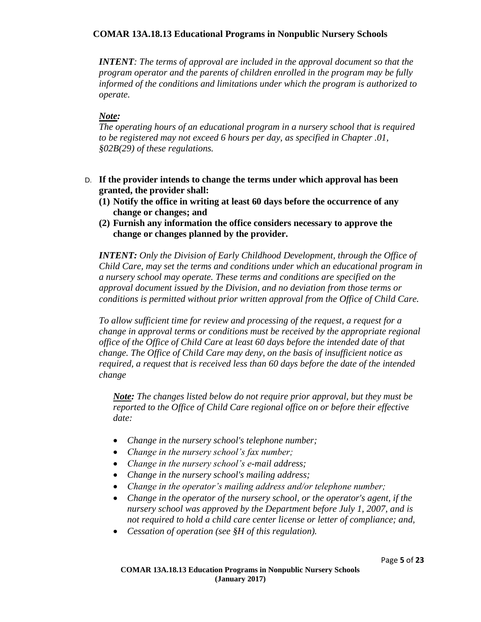*INTENT: The terms of approval are included in the approval document so that the program operator and the parents of children enrolled in the program may be fully informed of the conditions and limitations under which the program is authorized to operate.* 

#### *Note:*

*The operating hours of an educational program in a nursery school that is required to be registered may not exceed 6 hours per day, as specified in Chapter .01, §02B(29) of these regulations.*

- D. **If the provider intends to change the terms under which approval has been granted, the provider shall:**
	- **(1) Notify the office in writing at least 60 days before the occurrence of any change or changes; and**
	- **(2) Furnish any information the office considers necessary to approve the change or changes planned by the provider.**

*INTENT: Only the Division of Early Childhood Development, through the Office of Child Care, may set the terms and conditions under which an educational program in a nursery school may operate. These terms and conditions are specified on the approval document issued by the Division, and no deviation from those terms or conditions is permitted without prior written approval from the Office of Child Care.*

*To allow sufficient time for review and processing of the request, a request for a change in approval terms or conditions must be received by the appropriate regional office of the Office of Child Care at least 60 days before the intended date of that change. The Office of Child Care may deny, on the basis of insufficient notice as required, a request that is received less than 60 days before the date of the intended change*

*Note: The changes listed below do not require prior approval, but they must be reported to the Office of Child Care regional office on or before their effective date:*

- *Change in the nursery school's telephone number;*
- *Change in the nursery school's fax number;*
- *Change in the nursery school's e-mail address;*
- *Change in the nursery school's mailing address;*
- *Change in the operator's mailing address and/or telephone number;*
- *Change in the operator of the nursery school, or the operator's agent, if the nursery school was approved by the Department before July 1, 2007, and is not required to hold a child care center license or letter of compliance; and,*
- *Cessation of operation (see §H of this regulation).*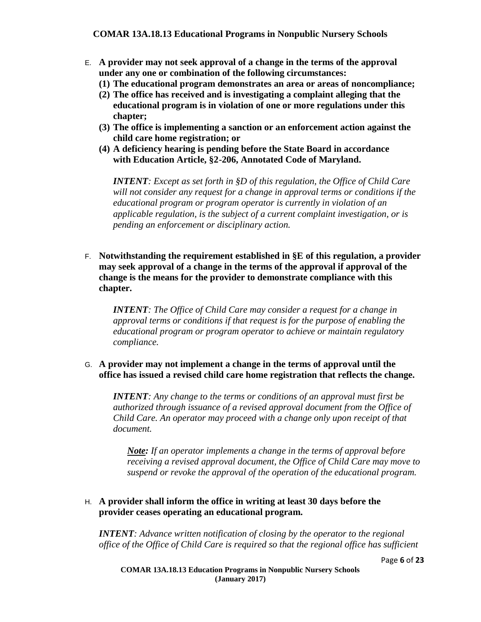- E. **A provider may not seek approval of a change in the terms of the approval under any one or combination of the following circumstances:**
	- **(1) The educational program demonstrates an area or areas of noncompliance;**
	- **(2) The office has received and is investigating a complaint alleging that the educational program is in violation of one or more regulations under this chapter;**
	- **(3) The office is implementing a sanction or an enforcement action against the child care home registration; or**
	- **(4) A deficiency hearing is pending before the State Board in accordance with Education Article, §2-206, Annotated Code of Maryland.**

*INTENT: Except as set forth in §D of this regulation, the Office of Child Care will not consider any request for a change in approval terms or conditions if the educational program or program operator is currently in violation of an applicable regulation, is the subject of a current complaint investigation, or is pending an enforcement or disciplinary action.*

F. **Notwithstanding the requirement established in §E of this regulation, a provider may seek approval of a change in the terms of the approval if approval of the change is the means for the provider to demonstrate compliance with this chapter.**

*INTENT: The Office of Child Care may consider a request for a change in approval terms or conditions if that request is for the purpose of enabling the educational program or program operator to achieve or maintain regulatory compliance.*

G. **A provider may not implement a change in the terms of approval until the office has issued a revised child care home registration that reflects the change.**

*INTENT: Any change to the terms or conditions of an approval must first be authorized through issuance of a revised approval document from the Office of Child Care. An operator may proceed with a change only upon receipt of that document.*

*Note: If an operator implements a change in the terms of approval before receiving a revised approval document, the Office of Child Care may move to suspend or revoke the approval of the operation of the educational program.*

#### H. **A provider shall inform the office in writing at least 30 days before the provider ceases operating an educational program.**

*INTENT: Advance written notification of closing by the operator to the regional office of the Office of Child Care is required so that the regional office has sufficient*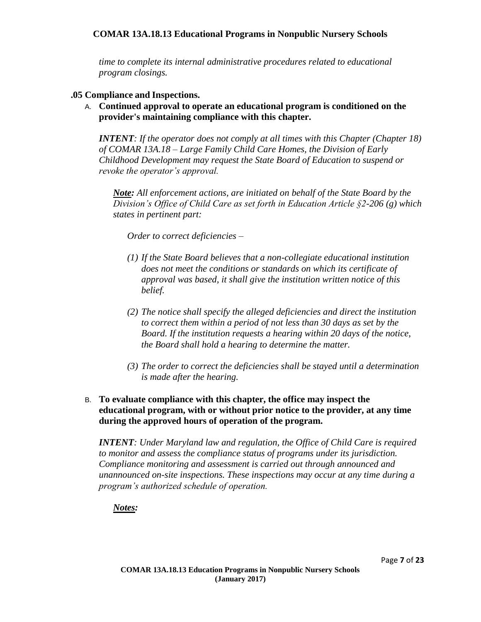*time to complete its internal administrative procedures related to educational program closings.*

#### **.05 Compliance and Inspections.**

A. **Continued approval to operate an educational program is conditioned on the provider's maintaining compliance with this chapter.**

*INTENT: If the operator does not comply at all times with this Chapter (Chapter 18) of COMAR 13A.18 – Large Family Child Care Homes, the Division of Early Childhood Development may request the State Board of Education to suspend or revoke the operator's approval.*

*Note: All enforcement actions, are initiated on behalf of the State Board by the Division's Office of Child Care as set forth in Education Article §2-206 (g) which states in pertinent part:*

*Order to correct deficiencies –*

- *(1) If the State Board believes that a non-collegiate educational institution does not meet the conditions or standards on which its certificate of approval was based, it shall give the institution written notice of this belief.*
- *(2) The notice shall specify the alleged deficiencies and direct the institution to correct them within a period of not less than 30 days as set by the Board. If the institution requests a hearing within 20 days of the notice, the Board shall hold a hearing to determine the matter.*
- *(3) The order to correct the deficiencies shall be stayed until a determination is made after the hearing.*
- B. **To evaluate compliance with this chapter, the office may inspect the educational program, with or without prior notice to the provider, at any time during the approved hours of operation of the program.**

*INTENT: Under Maryland law and regulation, the Office of Child Care is required to monitor and assess the compliance status of programs under its jurisdiction. Compliance monitoring and assessment is carried out through announced and unannounced on-site inspections. These inspections may occur at any time during a program's authorized schedule of operation.*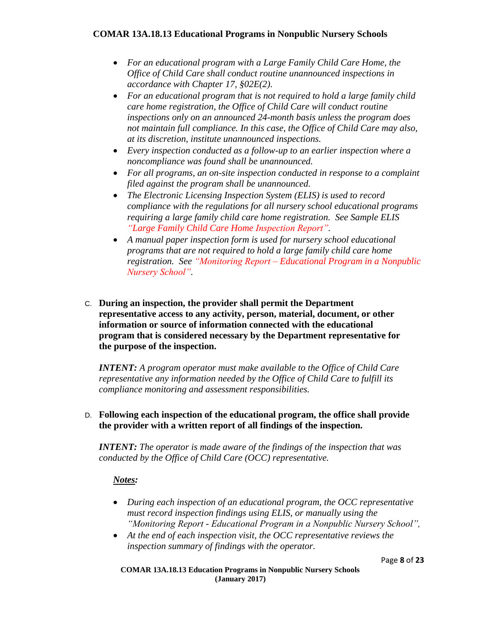- *For an educational program with a Large Family Child Care Home, the Office of Child Care shall conduct routine unannounced inspections in accordance with Chapter 17, §02E(2).*
- *For an educational program that is not required to hold a large family child care home registration, the Office of Child Care will conduct routine inspections only on an announced 24-month basis unless the program does not maintain full compliance. In this case, the Office of Child Care may also, at its discretion, institute unannounced inspections.*
- *Every inspection conducted as a follow-up to an earlier inspection where a noncompliance was found shall be unannounced.*
- *For all programs, an on-site inspection conducted in response to a complaint filed against the program shall be unannounced.*
- *The Electronic Licensing Inspection System (ELIS) is used to record compliance with the regulations for all nursery school educational programs requiring a large family child care home registration. See Sample ELIS "Large Family Child Care Home Inspection Report".*
- *A manual paper inspection form is used for nursery school educational programs that are not required to hold a large family child care home registration. See "Monitoring Report – Educational Program in a Nonpublic Nursery School".*
- C. **During an inspection, the provider shall permit the Department representative access to any activity, person, material, document, or other information or source of information connected with the educational program that is considered necessary by the Department representative for the purpose of the inspection.**

*INTENT: A program operator must make available to the Office of Child Care representative any information needed by the Office of Child Care to fulfill its compliance monitoring and assessment responsibilities.*

#### D. **Following each inspection of the educational program, the office shall provide the provider with a written report of all findings of the inspection.**

*INTENT: The operator is made aware of the findings of the inspection that was conducted by the Office of Child Care (OCC) representative.*

#### *Notes:*

- *During each inspection of an educational program, the OCC representative must record inspection findings using ELIS, or manually using the "Monitoring Report - Educational Program in a Nonpublic Nursery School",*
- *At the end of each inspection visit, the OCC representative reviews the inspection summary of findings with the operator.*

Page **8** of **23**

**COMAR 13A.18.13 Education Programs in Nonpublic Nursery Schools (January 2017)**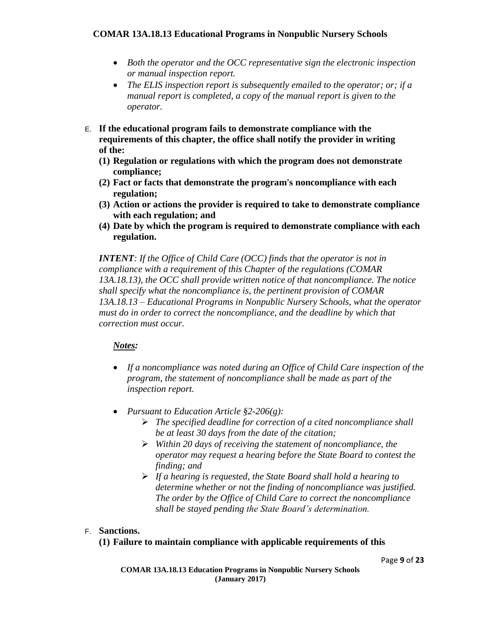- *Both the operator and the OCC representative sign the electronic inspection or manual inspection report.*
- *The ELIS inspection report is subsequently emailed to the operator; or; if a manual report is completed, a copy of the manual report is given to the operator.*
- E. **If the educational program fails to demonstrate compliance with the requirements of this chapter, the office shall notify the provider in writing of the:**
	- **(1) Regulation or regulations with which the program does not demonstrate compliance;**
	- **(2) Fact or facts that demonstrate the program's noncompliance with each regulation;**
	- **(3) Action or actions the provider is required to take to demonstrate compliance with each regulation; and**
	- **(4) Date by which the program is required to demonstrate compliance with each regulation.**

*INTENT: If the Office of Child Care (OCC) finds that the operator is not in compliance with a requirement of this Chapter of the regulations (COMAR 13A.18.13), the OCC shall provide written notice of that noncompliance. The notice shall specify what the noncompliance is, the pertinent provision of COMAR 13A.18.13 – Educational Programs in Nonpublic Nursery Schools, what the operator must do in order to correct the noncompliance, and the deadline by which that correction must occur.*

#### *Notes:*

- *If a noncompliance was noted during an Office of Child Care inspection of the program, the statement of noncompliance shall be made as part of the inspection report.*
- *Pursuant to Education Article §2-206(g):*
	- *The specified deadline for correction of a cited noncompliance shall be at least 30 days from the date of the citation;*
	- *Within 20 days of receiving the statement of noncompliance, the operator may request a hearing before the State Board to contest the finding; and*
	- *If a hearing is requested, the State Board shall hold a hearing to determine whether or not the finding of noncompliance was justified. The order by the Office of Child Care to correct the noncompliance shall be stayed pending the State Board's determination.*

#### F. **Sanctions.**

#### **(1) Failure to maintain compliance with applicable requirements of this**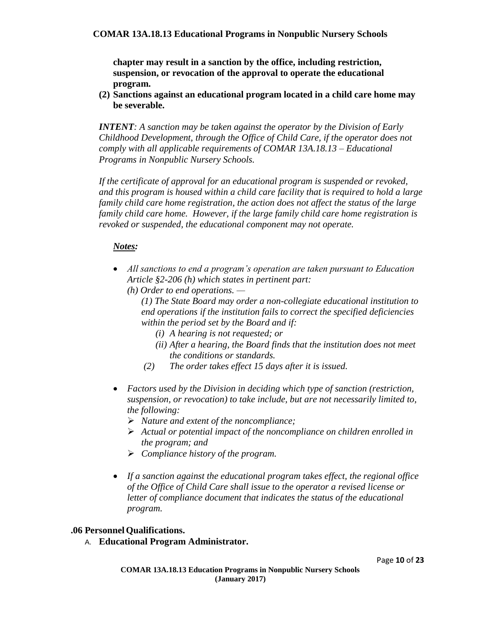**chapter may result in a sanction by the office, including restriction, suspension, or revocation of the approval to operate the educational program.**

**(2) Sanctions against an educational program located in a child care home may be severable.**

*INTENT: A sanction may be taken against the operator by the Division of Early Childhood Development, through the Office of Child Care, if the operator does not comply with all applicable requirements of COMAR 13A.18.13 – Educational Programs in Nonpublic Nursery Schools.* 

*If the certificate of approval for an educational program is suspended or revoked, and this program is housed within a child care facility that is required to hold a large family child care home registration, the action does not affect the status of the large family child care home. However, if the large family child care home registration is revoked or suspended, the educational component may not operate.*

#### *Notes:*

- *All sanctions to end a program's operation are taken pursuant to Education Article §2-206 (h) which states in pertinent part:*
	- *(h) Order to end operations. —*

*(1) The State Board may order a non-collegiate educational institution to end operations if the institution fails to correct the specified deficiencies within the period set by the Board and if:*

- *(i) A hearing is not requested; or*
- *(ii) After a hearing, the Board finds that the institution does not meet the conditions or standards.*
- *(2) The order takes effect 15 days after it is issued.*
- *Factors used by the Division in deciding which type of sanction (restriction, suspension, or revocation) to take include, but are not necessarily limited to, the following:*
	- *Nature and extent of the noncompliance;*
	- *Actual or potential impact of the noncompliance on children enrolled in the program; and*
	- *Compliance history of the program.*
- *If a sanction against the educational program takes effect, the regional office of the Office of Child Care shall issue to the operator a revised license or letter of compliance document that indicates the status of the educational program.*

#### **.06 PersonnelQualifications.**

A. **Educational Program Administrator.**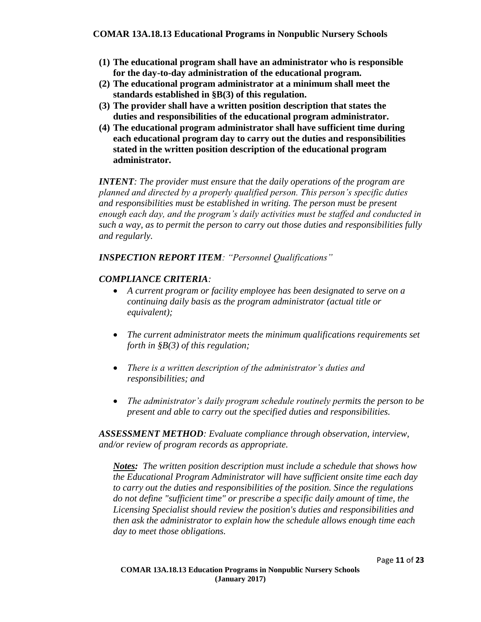- **(1) The educational program shall have an administrator who is responsible for the day-to-day administration of the educational program.**
- **(2) The educational program administrator at a minimum shall meet the standards established in §B(3) of this regulation.**
- **(3) The provider shall have a written position description that states the duties and responsibilities of the educational program administrator.**
- **(4) The educational program administrator shall have sufficient time during each educational program day to carry out the duties and responsibilities stated in the written position description of the educational program administrator.**

*INTENT: The provider must ensure that the daily operations of the program are planned and directed by a properly qualified person. This person's specific duties and responsibilities must be established in writing. The person must be present enough each day, and the program's daily activities must be staffed and conducted in such a way, as to permit the person to carry out those duties and responsibilities fully and regularly.*

*INSPECTION REPORT ITEM: "Personnel Qualifications"*

#### *COMPLIANCE CRITERIA:*

- *A current program or facility employee has been designated to serve on a continuing daily basis as the program administrator (actual title or equivalent);*
- *The current administrator meets the minimum qualifications requirements set forth in §B(3) of this regulation;*
- *There is a written description of the administrator's duties and responsibilities; and*
- *The administrator's daily program schedule routinely permits the person to be present and able to carry out the specified duties and responsibilities.*

*ASSESSMENT METHOD: Evaluate compliance through observation, interview, and/or review of program records as appropriate.*

*Notes: The written position description must include a schedule that shows how the Educational Program Administrator will have sufficient onsite time each day to carry out the duties and responsibilities of the position. Since the regulations do not define "sufficient time" or prescribe a specific daily amount of time, the Licensing Specialist should review the position's duties and responsibilities and then ask the administrator to explain how the schedule allows enough time each day to meet those obligations.*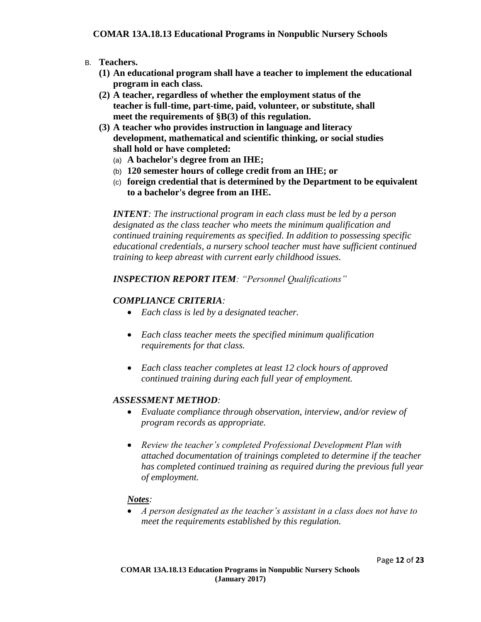- B. **Teachers.**
	- **(1) An educational program shall have a teacher to implement the educational program in each class.**
	- **(2) A teacher, regardless of whether the employment status of the teacher is full-time, part-time, paid, volunteer, or substitute, shall meet the requirements of §B(3) of this regulation.**
	- **(3) A teacher who provides instruction in language and literacy development, mathematical and scientific thinking, or social studies shall hold or have completed:**
		- (a) **A bachelor's degree from an IHE;**
		- (b) **120 semester hours of college credit from an IHE; or**
		- (c) **foreign credential that is determined by the Department to be equivalent to a bachelor's degree from an IHE.**

*INTENT: The instructional program in each class must be led by a person designated as the class teacher who meets the minimum qualification and continued training requirements as specified. In addition to possessing specific educational credentials, a nursery school teacher must have sufficient continued training to keep abreast with current early childhood issues.*

#### *INSPECTION REPORT ITEM: "Personnel Qualifications"*

#### *COMPLIANCE CRITERIA:*

- *Each class is led by a designated teacher.*
- *Each class teacher meets the specified minimum qualification requirements for that class.*
- *Each class teacher completes at least 12 clock hours of approved continued training during each full year of employment.*

#### *ASSESSMENT METHOD:*

- *Evaluate compliance through observation, interview, and/or review of program records as appropriate.*
- *Review the teacher's completed Professional Development Plan with attached documentation of trainings completed to determine if the teacher has completed continued training as required during the previous full year of employment.*

#### *Notes:*

 *A person designated as the teacher's assistant in a class does not have to meet the requirements established by this regulation.*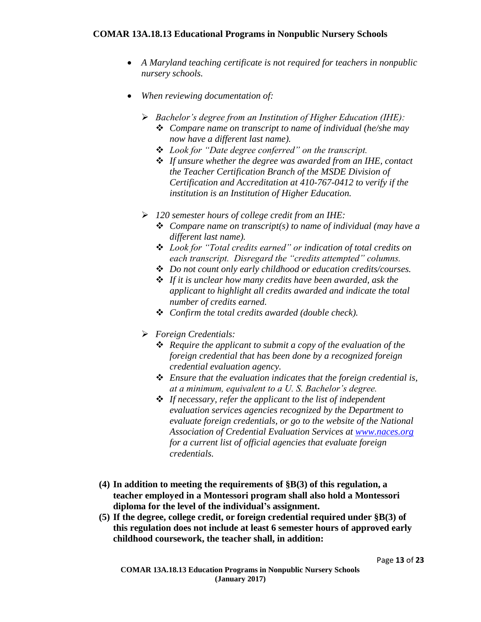- *A Maryland teaching certificate is not required for teachers in nonpublic nursery schools.*
- *When reviewing documentation of:*
	- *Bachelor's degree from an Institution of Higher Education (IHE): Compare name on transcript to name of individual (he/she may now have a different last name).*
		- *Look for "Date degree conferred" on the transcript.*
		- *If unsure whether the degree was awarded from an IHE, contact the Teacher Certification Branch of the MSDE Division of Certification and Accreditation at 410-767-0412 to verify if the institution is an Institution of Higher Education.*
	- *120 semester hours of college credit from an IHE:*
		- *Compare name on transcript(s) to name of individual (may have a different last name).*
		- *Look for "Total credits earned" or indication of total credits on each transcript. Disregard the "credits attempted" columns.*
		- *Do not count only early childhood or education credits/courses.*
		- *If it is unclear how many credits have been awarded, ask the applicant to highlight all credits awarded and indicate the total number of credits earned.*
		- *Confirm the total credits awarded (double check).*
	- *Foreign Credentials:*
		- *Require the applicant to submit a copy of the evaluation of the foreign credential that has been done by a recognized foreign credential evaluation agency.*
		- *Ensure that the evaluation indicates that the foreign credential is, at a minimum, equivalent to a U. S. Bachelor's degree.*
		- *If necessary, refer the applicant to the list of independent evaluation services agencies recognized by the Department to evaluate foreign credentials, or go to the website of the National Association of Credential Evaluation Services at [www.naces.org](http://www.naces.org/) for a current list of official agencies that evaluate foreign credentials.*
- **(4) In addition to meeting the requirements of §B(3) of this regulation, a teacher employed in a Montessori program shall also hold a Montessori diploma for the level of the individual's assignment.**
- **(5) If the degree, college credit, or foreign credential required under §B(3) of this regulation does not include at least 6 semester hours of approved early childhood coursework, the teacher shall, in addition:**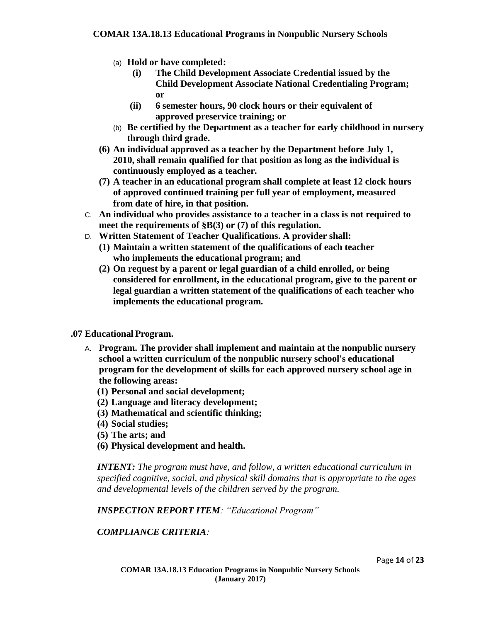- (a) **Hold or have completed:**
	- **(i) The Child Development Associate Credential issued by the Child Development Associate National Credentialing Program; or**
	- **(ii) 6 semester hours, 90 clock hours or their equivalent of approved preservice training; or**
- (b) **Be certified by the Department as a teacher for early childhood in nursery through third grade.**
- **(6) An individual approved as a teacher by the Department before July 1, 2010, shall remain qualified for that position as long as the individual is continuously employed as a teacher.**
- **(7) A teacher in an educational program shall complete at least 12 clock hours of approved continued training per full year of employment, measured from date of hire, in that position.**
- C. **An individual who provides assistance to a teacher in a class is not required to meet the requirements of §B(3) or (7) of this regulation.**
- D. **Written Statement of Teacher Qualifications. A provider shall:**
	- **(1) Maintain a written statement of the qualifications of each teacher who implements the educational program; and**
	- **(2) On request by a parent or legal guardian of a child enrolled, or being considered for enrollment, in the educational program, give to the parent or legal guardian a written statement of the qualifications of each teacher who implements the educational program.**

#### **.07 Educational Program.**

- A. **Program. The provider shall implement and maintain at the nonpublic nursery school a written curriculum of the nonpublic nursery school's educational program for the development of skills for each approved nursery school age in the following areas:**
	- **(1) Personal and social development;**
	- **(2) Language and literacy development;**
	- **(3) Mathematical and scientific thinking;**
	- **(4) Social studies;**
	- **(5) The arts; and**
	- **(6) Physical development and health.**

*INTENT: The program must have, and follow, a written educational curriculum in specified cognitive, social, and physical skill domains that is appropriate to the ages and developmental levels of the children served by the program.*

*INSPECTION REPORT ITEM: "Educational Program"*

#### *COMPLIANCE CRITERIA:*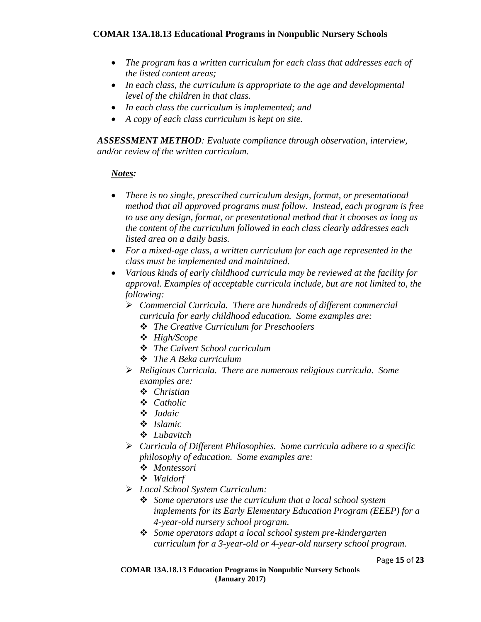- *The program has a written curriculum for each class that addresses each of the listed content areas;*
- *In each class, the curriculum is appropriate to the age and developmental level of the children in that class.*
- *In each class the curriculum is implemented; and*
- *A copy of each class curriculum is kept on site.*

*ASSESSMENT METHOD: Evaluate compliance through observation, interview, and/or review of the written curriculum.*

- *There is no single, prescribed curriculum design, format, or presentational method that all approved programs must follow. Instead, each program is free to use any design, format, or presentational method that it chooses as long as the content of the curriculum followed in each class clearly addresses each listed area on a daily basis.*
- *For a mixed-age class, a written curriculum for each age represented in the class must be implemented and maintained.*
- *Various kinds of early childhood curricula may be reviewed at the facility for approval. Examples of acceptable curricula include, but are not limited to, the following:*
	- *Commercial Curricula. There are hundreds of different commercial curricula for early childhood education. Some examples are:*
		- *The Creative Curriculum for Preschoolers*
		- *High/Scope*
		- *The Calvert School curriculum*
		- *The A Beka curriculum*
	- *Religious Curricula. There are numerous religious curricula. Some examples are:*
		- *Christian*
		- *Catholic*
		- *Judaic*
		- *Islamic*
		- *Lubavitch*
	- *Curricula of Different Philosophies. Some curricula adhere to a specific philosophy of education. Some examples are:*
		- *Montessori*
		- *Waldorf*
	- *Local School System Curriculum:* 
		- *Some operators use the curriculum that a local school system implements for its Early Elementary Education Program (EEEP) for a 4-year-old nursery school program.*
		- *Some operators adapt a local school system pre-kindergarten curriculum for a 3-year-old or 4-year-old nursery school program.*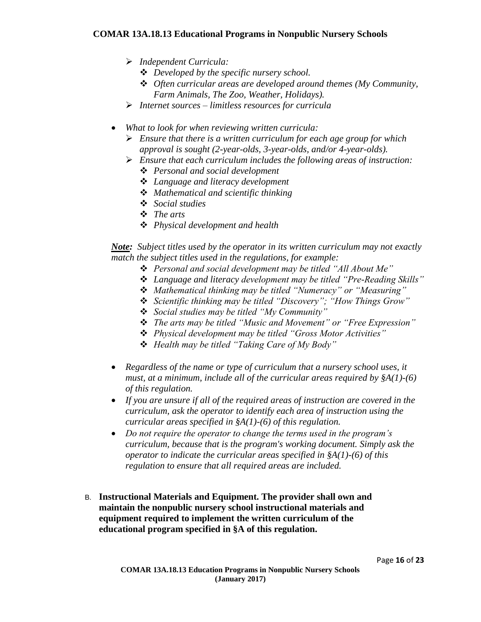- *Independent Curricula:* 
	- *Developed by the specific nursery school.*
	- *Often curricular areas are developed around themes (My Community, Farm Animals, The Zoo, Weather, Holidays).*
- *Internet sources – limitless resources for curricula*
- *What to look for when reviewing written curricula:*
	- *Ensure that there is a written curriculum for each age group for which approval is sought (2-year-olds, 3-year-olds, and/or 4-year-olds).*
	- *Ensure that each curriculum includes the following areas of instruction:*
		- *Personal and social development*
		- *Language and literacy development*
		- *Mathematical and scientific thinking*
		- *Social studies*
		- *The arts*
		- *Physical development and health*

*Note: Subject titles used by the operator in its written curriculum may not exactly match the subject titles used in the regulations, for example:* 

- *Personal and social development may be titled "All About Me"*
- *Language and literacy development may be titled "Pre-Reading Skills"*
- *Mathematical thinking may be titled "Numeracy" or "Measuring"*
- *Scientific thinking may be titled "Discovery"; "How Things Grow"*
- *Social studies may be titled "My Community"*
- *The arts may be titled "Music and Movement" or "Free Expression"*
- *Physical development may be titled "Gross Motor Activities"*
- *Health may be titled "Taking Care of My Body"*
- *Regardless of the name or type of curriculum that a nursery school uses, it must, at a minimum, include all of the curricular areas required by §A(1)-(6) of this regulation.*
- *If you are unsure if all of the required areas of instruction are covered in the curriculum, ask the operator to identify each area of instruction using the curricular areas specified in §A(1)-(6) of this regulation.*
- *Do not require the operator to change the terms used in the program's curriculum, because that is the program's working document. Simply ask the operator to indicate the curricular areas specified in §A(1)-(6) of this regulation to ensure that all required areas are included.*
- B. **Instructional Materials and Equipment. The provider shall own and maintain the nonpublic nursery school instructional materials and equipment required to implement the written curriculum of the educational program specified in §A of this regulation.**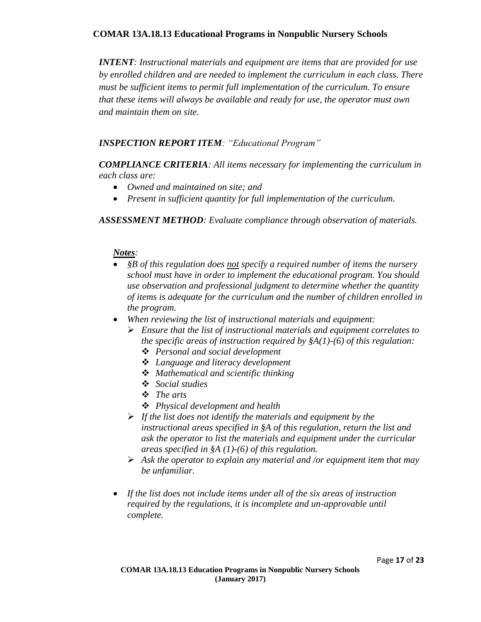*INTENT: Instructional materials and equipment are items that are provided for use by enrolled children and are needed to implement the curriculum in each class. There must be sufficient items to permit full implementation of the curriculum. To ensure that these items will always be available and ready for use, the operator must own and maintain them on site.* 

#### *INSPECTION REPORT ITEM: "Educational Program"*

*COMPLIANCE CRITERIA: All items necessary for implementing the curriculum in each class are:*

- *Owned and maintained on site; and*
- *Present in sufficient quantity for full implementation of the curriculum.*

*ASSESSMENT METHOD: Evaluate compliance through observation of materials.*

- *§B of this regulation does not specify a required number of items the nursery school must have in order to implement the educational program. You should use observation and professional judgment to determine whether the quantity of items is adequate for the curriculum and the number of children enrolled in the program.*
- *When reviewing the list of instructional materials and equipment:*
	- *Ensure that the list of instructional materials and equipment correlates to the specific areas of instruction required by §A(1)-(6) of this regulation:*
		- *Personal and social development*
		- *Language and literacy development*
		- *Mathematical and scientific thinking*
		- *Social studies*
		- *The arts*
		- *Physical development and health*
	- *If the list does not identify the materials and equipment by the instructional areas specified in §A of this regulation, return the list and ask the operator to list the materials and equipment under the curricular areas specified in §A (1)-(6) of this regulation.*
	- *Ask the operator to explain any material and /or equipment item that may be unfamiliar.*
- *If the list does not include items under all of the six areas of instruction required by the regulations, it is incomplete and un-approvable until complete.*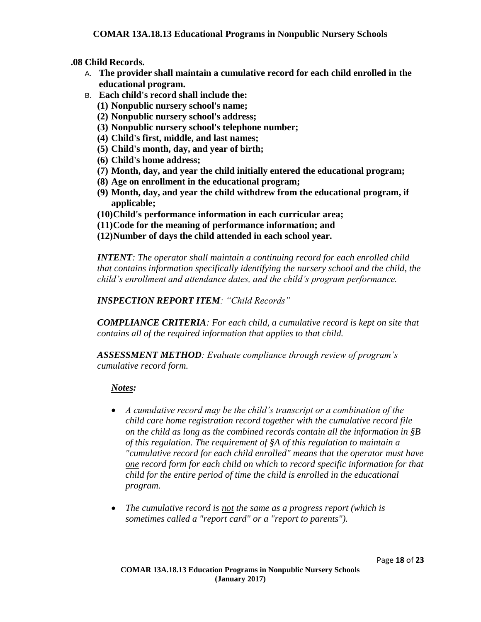**.08 Child Records.**

- A. **The provider shall maintain a cumulative record for each child enrolled in the educational program.**
- B. **Each child's record shall include the:**
	- **(1) Nonpublic nursery school's name;**
	- **(2) Nonpublic nursery school's address;**
	- **(3) Nonpublic nursery school's telephone number;**
	- **(4) Child's first, middle, and last names;**
	- **(5) Child's month, day, and year of birth;**
	- **(6) Child's home address;**
	- **(7) Month, day, and year the child initially entered the educational program;**
	- **(8) Age on enrollment in the educational program;**
	- **(9) Month, day, and year the child withdrew from the educational program, if applicable;**
	- **(10)Child's performance information in each curricular area;**
	- **(11)Code for the meaning of performance information; and**
	- **(12)Number of days the child attended in each school year.**

*INTENT: The operator shall maintain a continuing record for each enrolled child that contains information specifically identifying the nursery school and the child, the child's enrollment and attendance dates, and the child's program performance.*

*INSPECTION REPORT ITEM: "Child Records"*

*COMPLIANCE CRITERIA: For each child, a cumulative record is kept on site that contains all of the required information that applies to that child.*

*ASSESSMENT METHOD: Evaluate compliance through review of program's cumulative record form.*

- *A cumulative record may be the child's transcript or a combination of the child care home registration record together with the cumulative record file on the child as long as the combined records contain all the information in §B of this regulation. The requirement of §A of this regulation to maintain a "cumulative record for each child enrolled" means that the operator must have one record form for each child on which to record specific information for that child for the entire period of time the child is enrolled in the educational program.*
- *The cumulative record is not the same as a progress report (which is sometimes called a "report card" or a "report to parents").*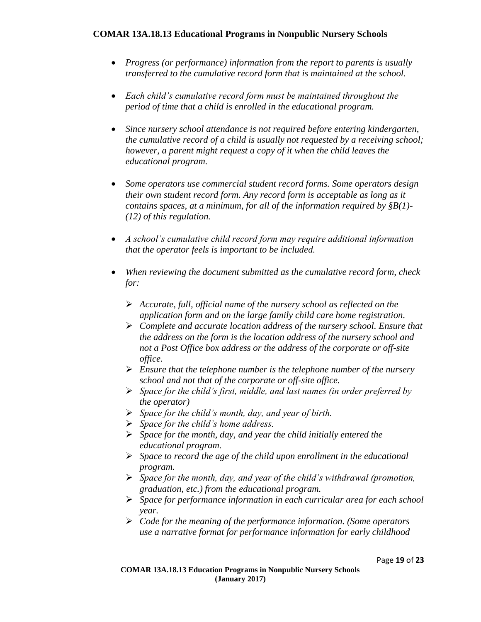- *Progress (or performance) information from the report to parents is usually transferred to the cumulative record form that is maintained at the school.*
- *Each child's cumulative record form must be maintained throughout the period of time that a child is enrolled in the educational program.*
- *Since nursery school attendance is not required before entering kindergarten, the cumulative record of a child is usually not requested by a receiving school; however, a parent might request a copy of it when the child leaves the educational program.*
- *Some operators use commercial student record forms. Some operators design their own student record form. Any record form is acceptable as long as it contains spaces, at a minimum, for all of the information required by §B(1)- (12) of this regulation.*
- *A school's cumulative child record form may require additional information that the operator feels is important to be included.*
- *When reviewing the document submitted as the cumulative record form, check for:*
	- *Accurate, full, official name of the nursery school as reflected on the application form and on the large family child care home registration.*
	- *Complete and accurate location address of the nursery school. Ensure that the address on the form is the location address of the nursery school and not a Post Office box address or the address of the corporate or off-site office.*
	- *Ensure that the telephone number is the telephone number of the nursery school and not that of the corporate or off-site office.*
	- *Space for the child's first, middle, and last names (in order preferred by the operator)*
	- *Space for the child's month, day, and year of birth.*
	- *Space for the child's home address.*
	- *Space for the month, day, and year the child initially entered the educational program.*
	- *Space to record the age of the child upon enrollment in the educational program.*
	- *Space for the month, day, and year of the child's withdrawal (promotion, graduation, etc.) from the educational program.*
	- *Space for performance information in each curricular area for each school year.*
	- *Code for the meaning of the performance information. (Some operators use a narrative format for performance information for early childhood*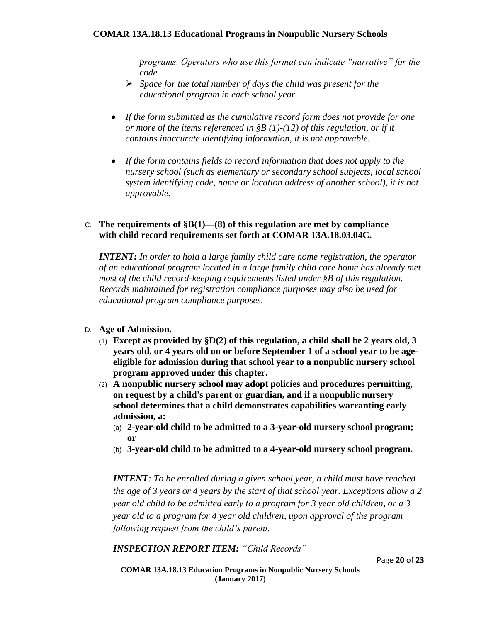*programs. Operators who use this format can indicate "narrative" for the code.*

- *Space for the total number of days the child was present for the educational program in each school year.*
- *If the form submitted as the cumulative record form does not provide for one or more of the items referenced in §B (1)-(12) of this regulation, or if it contains inaccurate identifying information, it is not approvable.*
- *If the form contains fields to record information that does not apply to the nursery school (such as elementary or secondary school subjects, local school system identifying code, name or location address of another school), it is not approvable.*

#### C. **The requirements of §B(1)—(8) of this regulation are met by compliance with child record requirements set forth at COMAR 13A.18.03.04C.**

*INTENT: In order to hold a large family child care home registration, the operator of an educational program located in a large family child care home has already met most of the child record-keeping requirements listed under §B of this regulation. Records maintained for registration compliance purposes may also be used for educational program compliance purposes.*

#### D. **Age of Admission.**

- (1) **Except as provided by §D(2) of this regulation, a child shall be 2 years old, 3 years old, or 4 years old on or before September 1 of a school year to be ageeligible for admission during that school year to a nonpublic nursery school program approved under this chapter.**
- (2) **A nonpublic nursery school may adopt policies and procedures permitting, on request by a child's parent or guardian, and if a nonpublic nursery school determines that a child demonstrates capabilities warranting early admission, a:**
	- (a) **2-year-old child to be admitted to a 3-year-old nursery school program; or**
	- (b) **3-year-old child to be admitted to a 4-year-old nursery school program.**

*INTENT: To be enrolled during a given school year, a child must have reached the age of 3 years or 4 years by the start of that school year. Exceptions allow a 2 year old child to be admitted early to a program for 3 year old children, or a 3 year old to a program for 4 year old children, upon approval of the program following request from the child's parent.*

*INSPECTION REPORT ITEM: "Child Records"*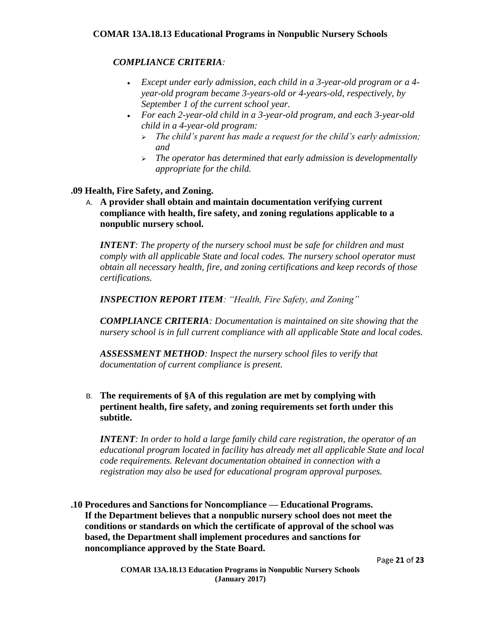#### *COMPLIANCE CRITERIA:*

- *Except under early admission, each child in a 3-year-old program or a 4 year-old program became 3-years-old or 4-years-old, respectively, by September 1 of the current school year.*
- *For each 2-year-old child in a 3-year-old program, and each 3-year-old child in a 4-year-old program:*
	- *The child's parent has made a request for the child's early admission; and*
	- *The operator has determined that early admission is developmentally appropriate for the child.*

#### **.09 Health, Fire Safety, and Zoning.**

A. **A provider shall obtain and maintain documentation verifying current compliance with health, fire safety, and zoning regulations applicable to a nonpublic nursery school.**

*INTENT: The property of the nursery school must be safe for children and must comply with all applicable State and local codes. The nursery school operator must obtain all necessary health, fire, and zoning certifications and keep records of those certifications.* 

*INSPECTION REPORT ITEM: "Health, Fire Safety, and Zoning"*

*COMPLIANCE CRITERIA: Documentation is maintained on site showing that the nursery school is in full current compliance with all applicable State and local codes.*

*ASSESSMENT METHOD: Inspect the nursery school files to verify that documentation of current compliance is present.* 

#### B. **The requirements of §A of this regulation are met by complying with pertinent health, fire safety, and zoning requirements set forth under this subtitle.**

*INTENT: In order to hold a large family child care registration, the operator of an educational program located in facility has already met all applicable State and local code requirements. Relevant documentation obtained in connection with a registration may also be used for educational program approval purposes.*

**.10 Procedures and Sanctions for Noncompliance — Educational Programs. If the Department believes that a nonpublic nursery school does not meet the conditions or standards on which the certificate of approval of the school was based, the Department shall implement procedures and sanctions for noncompliance approved by the State Board.**